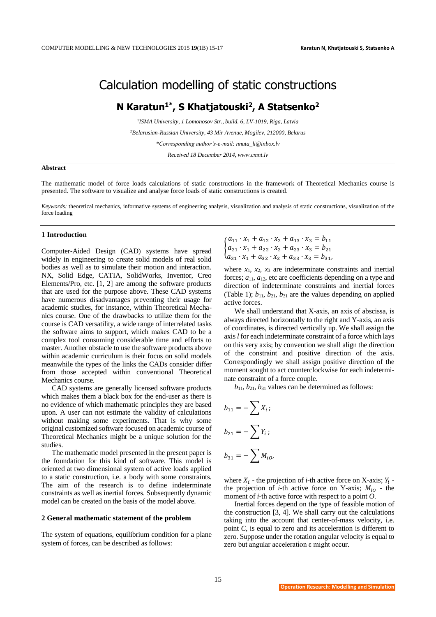# Calculation modelling of static constructions

## **N Karatun1\* , S Khatjatouski<sup>2</sup> , A Statsenko<sup>2</sup>**

1 *ISMA University, 1 Lomonosov Str., build. 6, LV-1019, Riga, Latvia* <sup>2</sup>*Belarusian-Russian University, 43 Mir Avenue, Mogilev, 212000, Belarus \*Corresponding author's-e-mail: nnata\_li@inbox.lv Received 18 December 2014, www.cmnt.lv*

#### **Abstract**

The mathematic model of force loads calculations of static constructions in the framework of Theoretical Mechanics course is presented. The software to visualize and analyse force loads of static constructions is created.

*Keywords:* theoretical mechanics, informative systems of engineering analysis, visualization and analysis of static constructions, visualization of the force loading

## **1 Introduction**

Computer-Aided Design (CAD) systems have spread widely in engineering to create solid models of real solid bodies as well as to simulate their motion and interaction. NX, Solid Edge, CATIA, SolidWorks, Inventor, Creo Elements/Pro, etc. [1, 2] are among the software products that are used for the purpose above. These CAD systems have numerous disadvantages preventing their usage for academic studies, for instance, within Theoretical Mechanics course. One of the drawbacks to utilize them for the course is CAD versatility, a wide range of interrelated tasks the software aims to support, which makes CAD to be a complex tool consuming considerable time and efforts to master. Another obstacle to use the software products above within academic curriculum is their focus on solid models meanwhile the types of the links the CADs consider differ from those accepted within conventional Theoretical Mechanics course.

CAD systems are generally licensed software products which makes them a black box for the end-user as there is no evidence of which mathematic principles they are based upon. A user can not estimate the validity of calculations without making some experiments. That is why some original customized software focused on academic course of Theoretical Mechanics might be a unique solution for the studies.

The mathematic model presented in the present paper is the foundation for this kind of software. This model is oriented at two dimensional system of active loads applied to a static construction, i.e. a body with some constraints. The aim of the research is to define indeterminate constraints as well as inertial forces. Subsequently dynamic model can be created on the basis of the model above.

## **2 General mathematic statement of the problem**

The system of equations, equilibrium condition for a plane system of forces, can be described as follows:

$$
\begin{cases} a_{11} \cdot x_1 + a_{12} \cdot x_2 + a_{13} \cdot x_3 = b_{11} \\ a_{21} \cdot x_1 + a_{22} \cdot x_2 + a_{23} \cdot x_3 = b_{21} \\ a_{31} \cdot x_1 + a_{32} \cdot x_2 + a_{33} \cdot x_3 = b_{31}, \end{cases}
$$

where  $x_1$ ,  $x_2$ ,  $x_3$  are indeterminate constraints and inertial forces;  $a_{11}$ ,  $a_{12}$ , etc are coefficients depending on a type and direction of indeterminate constraints and inertial forces (Table 1);  $b_{11}$ ,  $b_{21}$ ,  $b_{31}$  are the values depending on applied active forces.

We shall understand that X-axis, an axis of abscissa, is always directed horizontally to the right and Y-axis, an axis of coordinates, is directed vertically up. We shall assign the axis*l* for each indeterminate constraint of a force which lays on this very axis; by convention we shall align the direction of the constraint and positive direction of the axis. Correspondingly we shall assign positive direction of the moment sought to act counterclockwise for each indeterminate constraint of a force couple.

 $b_{11}$ ,  $b_{21}$ ,  $b_{31}$  values can be determined as follows:

$$
b_{11} = -\sum X_i ;
$$
  

$$
b_{21} = -\sum Y_i ;
$$
  

$$
b_{31} = -\sum M_{i0},
$$

where  $X_i$  - the projection of *i*-th active force on X-axis;  $Y_i$  the projection of *i*-th active force on Y-axis;  $M_{i0}$  - the moment of *i*-th active force with respect to a point *O*.

Inertial forces depend on the type of feasible motion of the construction [3, 4]. We shall carry out the calculations taking into the account that center-of-mass velocity, i.e. point *C*, is equal to zero and its acceleration is different to zero. Suppose under the rotation angular velocity is equal to zero but angular acceleration ε might occur.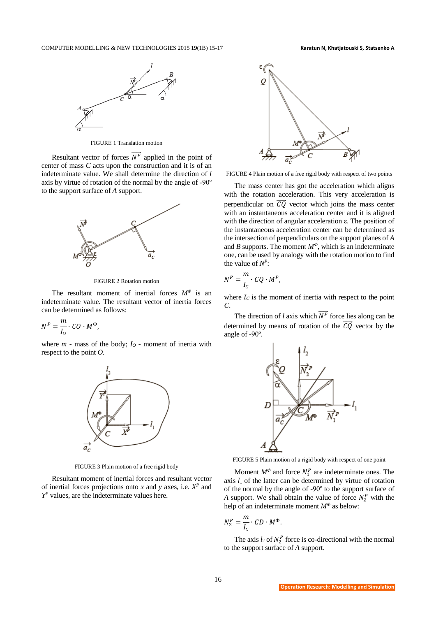

FIGURE 1 Translation motion

Resultant vector of forces  $\overrightarrow{N^P}$  applied in the point of center of mass *C* acts upon the construction and it is of an indeterminate value. We shall determine the direction of *l* axis by virtue of rotation of the normal by the angle of -90º to the support surface of *A* support.



FIGURE 2 Rotation motion

The resultant moment of inertial forces *M<sup>Φ</sup>* is an indeterminate value. The resultant vector of inertia forces can be determined as follows:

 $N^P=\frac{m}{l}$  $I_{O}$  $\cdot$   $CO \cdot M^{\Phi}$ ,

where *m* - mass of the body; *I*<sub>O</sub> - moment of inertia with respect to the point *O*.



FIGURE 3 Plain motion of a free rigid body

Resultant moment of inertial forces and resultant vector of inertial forces projections onto *x* and *y* axes, i.e.  $X^P$  and *Y <sup>P</sup>* values, are the indeterminate values here.



FIGURE 4 Plain motion of a free rigid body with respect of two points

The mass center has got the acceleration which aligns with the rotation acceleration. This very acceleration is perpendicular on  $\overrightarrow{CQ}$  vector which joins the mass center with an instantaneous acceleration center and it is aligned with the direction of angular acceleration ε. The position of the instantaneous acceleration center can be determined as the intersection of perpendiculars on the support planes of *A* and *B* supports. The moment  $M^{\Phi}$ , which is an indeterminate one, can be used by analogy with the rotation motion to find the value of  $N^P$ :

$$
N^P = \frac{m}{I_C} \cdot CQ \cdot M^P,
$$

where  $I_C$  is the moment of inertia with respect to the point *С*.

The direction of *l* axis which  $\overrightarrow{N^P}$  force lies along can be determined by means of rotation of the  $\overrightarrow{CQ}$  vector by the angle of -90º.



FIGURE 5 Plain motion of a rigid body with respect of one point

Moment  $M^{\Phi}$  and force  $N_1^P$  are indeterminate ones. The axis  $l_1$  of the latter can be determined by virtue of rotation of the normal by the angle of -90º to the support surface of *A* support. We shall obtain the value of force  $N_2^P$  with the help of an indeterminate moment *M<sup>Φ</sup>* as below:

$$
N_2^P = \frac{m}{I_C} \cdot CD \cdot M^{\Phi}.
$$

The axis  $l_2$  of  $N_2^P$  force is co-directional with the normal to the support surface of *A* support.